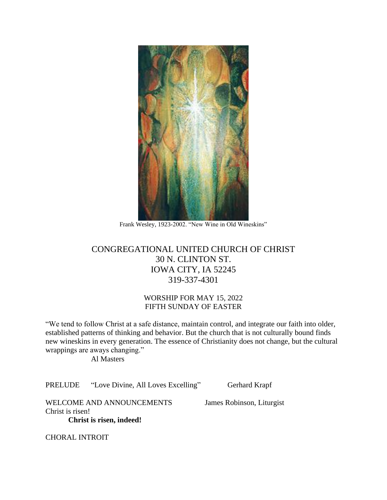

Frank Wesley, 1923-2002. "New Wine in Old Wineskins"

# CONGREGATIONAL UNITED CHURCH OF CHRIST 30 N. CLINTON ST. IOWA CITY, IA 52245 319-337-4301

## WORSHIP FOR MAY 15, 2022 FIFTH SUNDAY OF EASTER

"We tend to follow Christ at a safe distance, maintain control, and integrate our faith into older, established patterns of thinking and behavior. But the church that is not culturally bound finds new wineskins in every generation. The essence of Christianity does not change, but the cultural wrappings are aways changing."

Al Masters

PRELUDE "Love Divine, All Loves Excelling" Gerhard Krapf

WELCOME AND ANNOUNCEMENTS James Robinson, Liturgist Christ is risen!

**Christ is risen, indeed!**

CHORAL INTROIT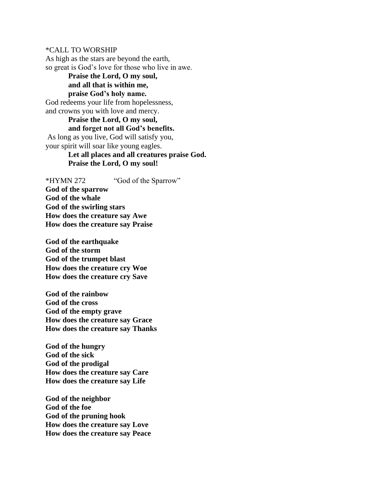\*CALL TO WORSHIP

As high as the stars are beyond the earth, so great is God's love for those who live in awe.

**Praise the Lord, O my soul, and all that is within me, praise God's holy name.** God redeems your life from hopelessness, and crowns you with love and mercy.

**Praise the Lord, O my soul, and forget not all God's benefits.** As long as you live, God will satisfy you, your spirit will soar like young eagles.

> **Let all places and all creatures praise God. Praise the Lord, O my soul!**

\*HYMN 272 "God of the Sparrow" **God of the sparrow God of the whale God of the swirling stars How does the creature say Awe How does the creature say Praise**

**God of the earthquake God of the storm God of the trumpet blast How does the creature cry Woe How does the creature cry Save**

**God of the rainbow God of the cross God of the empty grave How does the creature say Grace How does the creature say Thanks**

**God of the hungry God of the sick God of the prodigal How does the creature say Care How does the creature say Life**

**God of the neighbor God of the foe God of the pruning hook How does the creature say Love How does the creature say Peace**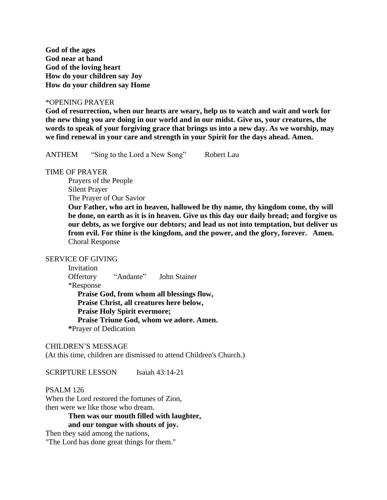**God of the ages God near at hand God of the loving heart How do your children say Joy How do your children say Home**

#### \*OPENING PRAYER

**God of resurrection, when our hearts are weary, help us to watch and wait and work for the new thing you are doing in our world and in our midst. Give us, your creatures, the words to speak of your forgiving grace that brings us into a new day. As we worship, may we find renewal in your care and strength in your Spirit for the days ahead. Amen.** 

ANTHEM "Sing to the Lord a New Song" Robert Lau

#### TIME OF PRAYER

Prayers of the People Silent Prayer The Prayer of Our Savior

**Our Father, who art in heaven, hallowed be thy name, thy kingdom come, thy will be done, on earth as it is in heaven. Give us this day our daily bread; and forgive us our debts, as we forgive our debtors; and lead us not into temptation, but deliver us from evil. For thine is the kingdom, and the power, and the glory, forever. Amen.** Choral Response

### SERVICE OF GIVING

Invitation Offertory "Andante" John Stainer \*Response **Praise God, from whom all blessings flow, Praise Christ, all creatures here below, Praise Holy Spirit evermore; Praise Triune God, whom we adore. Amen. \***Prayer of Dedication

#### CHILDREN'S MESSAGE

(At this time, children are dismissed to attend Children's Church.)

SCRIPTURE LESSON Isaiah 43:14-21

#### PSALM 126

When the Lord restored the fortunes of Zion, then were we like those who dream.

> **Then was our mouth filled with laughter, and our tongue with shouts of joy.**

Then they said among the nations,

"The Lord has done great things for them."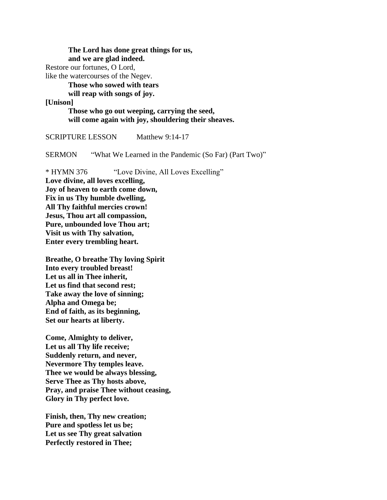**The Lord has done great things for us, and we are glad indeed.**

Restore our fortunes, O Lord,

like the watercourses of the Negev.

**Those who sowed with tears** 

**will reap with songs of joy.**

**[Unison]**

**Those who go out weeping, carrying the seed, will come again with joy, shouldering their sheaves.** 

SCRIPTURE LESSON Matthew 9:14-17

SERMON "What We Learned in the Pandemic (So Far) (Part Two)"

\* HYMN 376 "Love Divine, All Loves Excelling"

**Love divine, all loves excelling, Joy of heaven to earth come down, Fix in us Thy humble dwelling, All Thy faithful mercies crown! Jesus, Thou art all compassion, Pure, unbounded love Thou art; Visit us with Thy salvation, Enter every trembling heart.**

**Breathe, O breathe Thy loving Spirit Into every troubled breast! Let us all in Thee inherit, Let us find that second rest; Take away the love of sinning; Alpha and Omega be; End of faith, as its beginning, Set our hearts at liberty.**

**Come, Almighty to deliver, Let us all Thy life receive; Suddenly return, and never, Nevermore Thy temples leave. Thee we would be always blessing, Serve Thee as Thy hosts above, Pray, and praise Thee without ceasing, Glory in Thy perfect love.**

**Finish, then, Thy new creation; Pure and spotless let us be; Let us see Thy great salvation Perfectly restored in Thee;**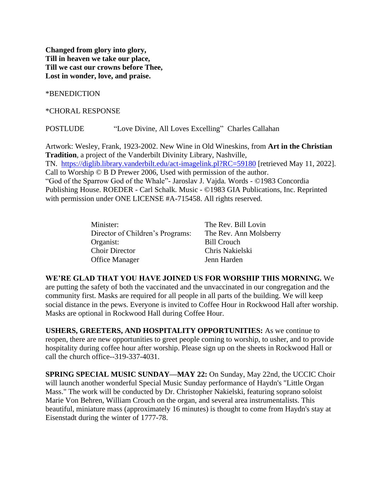**Changed from glory into glory, Till in heaven we take our place, Till we cast our crowns before Thee, Lost in wonder, love, and praise.**

\*BENEDICTION

\*CHORAL RESPONSE

POSTLUDE "Love Divine, All Loves Excelling" Charles Callahan

Artwork: Wesley, Frank, 1923-2002. New Wine in Old Wineskins, from **Art in the Christian Tradition**, a project of the Vanderbilt Divinity Library, Nashville, TN. <https://diglib.library.vanderbilt.edu/act-imagelink.pl?RC=59180> [retrieved May 11, 2022]. Call to Worship © B D Prewer 2006, Used with permission of the author. "God of the Sparrow God of the Whale"- Jaroslav J. Vajda*.* Words - ©1983 Concordia Publishing House. ROEDER - Carl Schalk*.* Music - ©1983 GIA Publications, Inc. Reprinted with permission under ONE LICENSE #A-715458. All rights reserved.

| Minister:                        | The Rev. Bill Lovin    |
|----------------------------------|------------------------|
| Director of Children's Programs: | The Rev. Ann Molsberry |
| Organist:                        | Bill Crouch            |
| <b>Choir Director</b>            | Chris Nakielski        |
| <b>Office Manager</b>            | Jenn Harden            |

**WE'RE GLAD THAT YOU HAVE JOINED US FOR WORSHIP THIS MORNING.** We are putting the safety of both the vaccinated and the unvaccinated in our congregation and the community first. Masks are required for all people in all parts of the building. We will keep social distance in the pews. Everyone is invited to Coffee Hour in Rockwood Hall after worship. Masks are optional in Rockwood Hall during Coffee Hour.

**USHERS, GREETERS, AND HOSPITALITY OPPORTUNITIES:** As we continue to reopen, there are new opportunities to greet people coming to worship, to usher, and to provide hospitality during coffee hour after worship. Please sign up on the sheets in Rockwood Hall or call the church office--319-337-4031.

**SPRING SPECIAL MUSIC SUNDAY—MAY 22:** On Sunday, May 22nd, the UCCIC Choir will launch another wonderful Special Music Sunday performance of Haydn's "Little Organ Mass." The work will be conducted by Dr. Christopher Nakielski, featuring soprano soloist Marie Von Behren, William Crouch on the organ, and several area instrumentalists. This beautiful, miniature mass (approximately 16 minutes) is thought to come from Haydn's stay at Eisenstadt during the winter of 1777-78.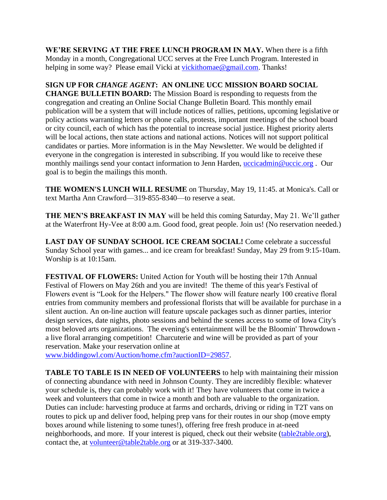**WE'RE SERVING AT THE FREE LUNCH PROGRAM IN MAY.** When there is a fifth Monday in a month, Congregational UCC serves at the Free Lunch Program. Interested in helping in some way? Please email Vicki at [vickithomae@gmail.com.](javascript:void(0);) Thanks!

**SIGN UP FOR** *CHANGE AGENT***: AN ONLINE UCC MISSION BOARD SOCIAL CHANGE BULLETIN BOARD:** The Mission Board is responding to requests from the congregation and creating an Online Social Change Bulletin Board. This monthly email publication will be a system that will include notices of rallies, petitions, upcoming legislative or policy actions warranting letters or phone calls, protests, important meetings of the school board or city council, each of which has the potential to increase social justice. Highest priority alerts will be local actions, then state actions and national actions. Notices will not support political candidates or parties. More information is in the May Newsletter. We would be delighted if everyone in the congregation is interested in subscribing. If you would like to receive these monthly mailings send your contact information to Jenn Harden, [uccicadmin@uccic.org](javascript:void(0);). Our goal is to begin the mailings this month.

**THE WOMEN'S LUNCH WILL RESUME** on Thursday, May 19, 11:45. at Monica's. Call or text Martha Ann Crawford—319-855-8340—to reserve a seat.

**THE MEN'S BREAKFAST IN MAY** will be held this coming Saturday, May 21. We'll gather at the Waterfront Hy-Vee at 8:00 a.m. Good food, great people. Join us! (No reservation needed.)

**LAST DAY OF SUNDAY SCHOOL ICE CREAM SOCIAL!** Come celebrate a successful Sunday School year with games... and ice cream for breakfast! Sunday, May 29 from 9:15-10am. Worship is at 10:15am.

**FESTIVAL OF FLOWERS:** United Action for Youth will be hosting their 17th Annual Festival of Flowers on May 26th and you are invited! The theme of this year's Festival of Flowers event is "Look for the Helpers." The flower show will feature nearly 100 creative floral entries from community members and professional florists that will be available for purchase in a silent auction. An on-line auction will feature upscale packages such as dinner parties, interior design services, date nights, photo sessions and behind the scenes access to some of Iowa City's most beloved arts organizations. The evening's entertainment will be the Bloomin' Throwdown a live floral arranging competition! Charcuterie and wine will be provided as part of your reservation. Make your reservation online at

[www.biddingowl.com/Auction/home.cfm?auctionID=29857.](http://www.biddingowl.com/Auction/home.cfm?auctionID=29857)

**TABLE TO TABLE IS IN NEED OF VOLUNTEERS** to help with maintaining their mission of connecting abundance with need in Johnson County. They are incredibly flexible: whatever your schedule is, they can probably work with it! They have volunteers that come in twice a week and volunteers that come in twice a month and both are valuable to the organization. Duties can include: harvesting produce at farms and orchards, driving or riding in T2T vans on routes to pick up and deliver food, helping prep vans for their routes in our shop (move empty boxes around while listening to some tunes!), offering free fresh produce in at-need neighborhoods, and more. If your interest is piqued, check out their website [\(table2table.org\)](https://table2table.org/), contact the, at [volunteer@table2table.org](javascript:void(0);) or at 319-337-3400.